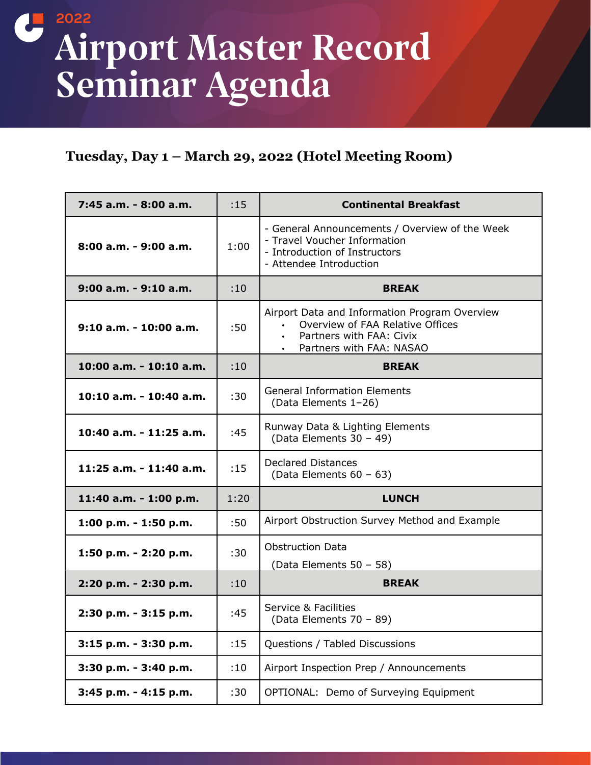## **2022**  Airport Master Record Seminar Agenda

## **Tuesday, Day 1 – March 29, 2022 (Hotel Meeting Room)**

| 7:45 a.m. - 8:00 a.m.    | :15  | <b>Continental Breakfast</b>                                                                                                               |
|--------------------------|------|--------------------------------------------------------------------------------------------------------------------------------------------|
| 8:00 a.m. - 9:00 a.m.    | 1:00 | - General Announcements / Overview of the Week<br>- Travel Voucher Information<br>- Introduction of Instructors<br>- Attendee Introduction |
| 9:00 a.m. - 9:10 a.m.    | :10  | <b>BREAK</b>                                                                                                                               |
| $9:10$ a.m. - 10:00 a.m. | :50  | Airport Data and Information Program Overview<br>Overview of FAA Relative Offices<br>Partners with FAA: Civix<br>Partners with FAA: NASAO  |
| 10:00 a.m. - 10:10 a.m.  | :10  | <b>BREAK</b>                                                                                                                               |
| 10:10 a.m. - 10:40 a.m.  | :30  | <b>General Information Elements</b><br>(Data Elements 1-26)                                                                                |
| 10:40 a.m. - 11:25 a.m.  | :45  | Runway Data & Lighting Elements<br>(Data Elements 30 - 49)                                                                                 |
| 11:25 a.m. - 11:40 a.m.  | :15  | <b>Declared Distances</b><br>(Data Elements 60 - 63)                                                                                       |
| 11:40 a.m. - 1:00 p.m.   | 1:20 | <b>LUNCH</b>                                                                                                                               |
| 1:00 p.m. - 1:50 p.m.    | :50  | Airport Obstruction Survey Method and Example                                                                                              |
| 1:50 p.m. - 2:20 p.m.    | :30  | <b>Obstruction Data</b><br>(Data Elements 50 - 58)                                                                                         |
| 2:20 p.m. - 2:30 p.m.    | :10  | <b>BREAK</b>                                                                                                                               |
| 2:30 p.m. - 3:15 p.m.    | :45  | <b>Service &amp; Facilities</b><br>(Data Elements 70 - 89)                                                                                 |
| 3:15 p.m. - 3:30 p.m.    | :15  | Questions / Tabled Discussions                                                                                                             |
| 3:30 p.m. - 3:40 p.m.    | :10  | Airport Inspection Prep / Announcements                                                                                                    |
| 3:45 p.m. - 4:15 p.m.    | :30  | OPTIONAL: Demo of Surveying Equipment                                                                                                      |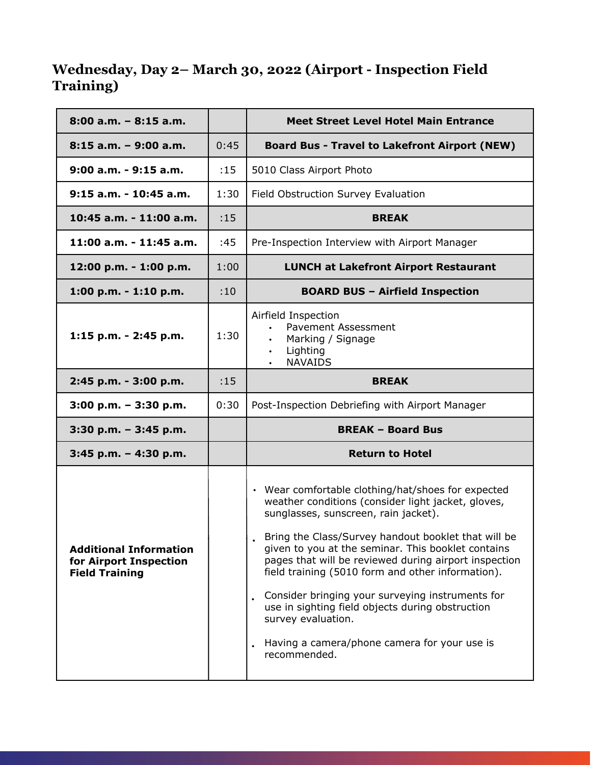## **Wednesday, Day 2– March 30, 2022 (Airport - Inspection Field Training)**

| $8:00$ a.m. $-8:15$ a.m.  |      | <b>Meet Street Level Hotel Main Entrance</b>                                                                      |
|---------------------------|------|-------------------------------------------------------------------------------------------------------------------|
| $8:15$ a.m. - 9:00 a.m.   | 0:45 | <b>Board Bus - Travel to Lakefront Airport (NEW)</b>                                                              |
| $9:00$ a.m. - $9:15$ a.m. | :15  | 5010 Class Airport Photo                                                                                          |
| $9:15$ a.m. - 10:45 a.m.  | 1:30 | Field Obstruction Survey Evaluation                                                                               |
| 10:45 a.m. - 11:00 a.m.   | :15  | <b>BREAK</b>                                                                                                      |
| 11:00 a.m. - 11:45 a.m.   | :45  | Pre-Inspection Interview with Airport Manager                                                                     |
| 12:00 p.m. - 1:00 p.m.    | 1:00 | <b>LUNCH at Lakefront Airport Restaurant</b>                                                                      |
| 1:00 p.m. $-$ 1:10 p.m.   | :10  | <b>BOARD BUS - Airfield Inspection</b>                                                                            |
| 1:15 p.m. - 2:45 p.m.     | 1:30 | Airfield Inspection<br><b>Pavement Assessment</b><br>Marking / Signage<br>Lighting<br>$\bullet$<br><b>NAVAIDS</b> |
| 2:45 p.m. - 3:00 p.m.     | :15  | <b>BREAK</b>                                                                                                      |
| $3:00$ p.m. $-3:30$ p.m.  | 0:30 | Post-Inspection Debriefing with Airport Manager                                                                   |
| $3:30$ p.m. $-3:45$ p.m.  |      | <b>BREAK - Board Bus</b>                                                                                          |
| 3:45 p.m. - 4:30 p.m.     |      | <b>Return to Hotel</b>                                                                                            |
|                           |      |                                                                                                                   |